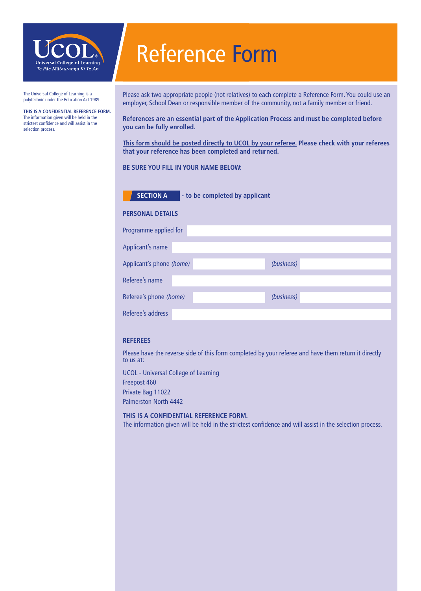

### The Universal College of Learning is a polytechnic under the Education Act 1989.

**This is a confidential reference form.** The information given will be held in the strictest confidence and will assist in the selection process.

# Reference Form

Please ask two appropriate people (not relatives) to each complete a Reference Form. You could use an employer, School Dean or responsible member of the community, not a family member or friend.

**References are an essential part of the Application Process and must be completed before you can be fully enrolled.**

**This form should be posted directly to UCOL by your referee. Please check with your referees that your reference has been completed and returned.**

### **Be sure you Fill in your name below:**



**SECTION A** - to be completed by applicant

### **PERSONAL DETAILS**

| Programme applied for    |            |
|--------------------------|------------|
| Applicant's name         |            |
| Applicant's phone (home) | (business) |
| Referee's name           |            |
| Referee's phone (home)   | (business) |
| Referee's address        |            |

### **REferees**

Please have the reverse side of this form completed by your referee and have them return it directly to us at:

UCOL - Universal College of Learning Freepost 460 Private Bag 11022 Palmerston North 4442

### **THIS IS A CONFIDENTIAL REFERENCE FORM.** The information given will be held in the strictest confidence and will assist in the selection process.